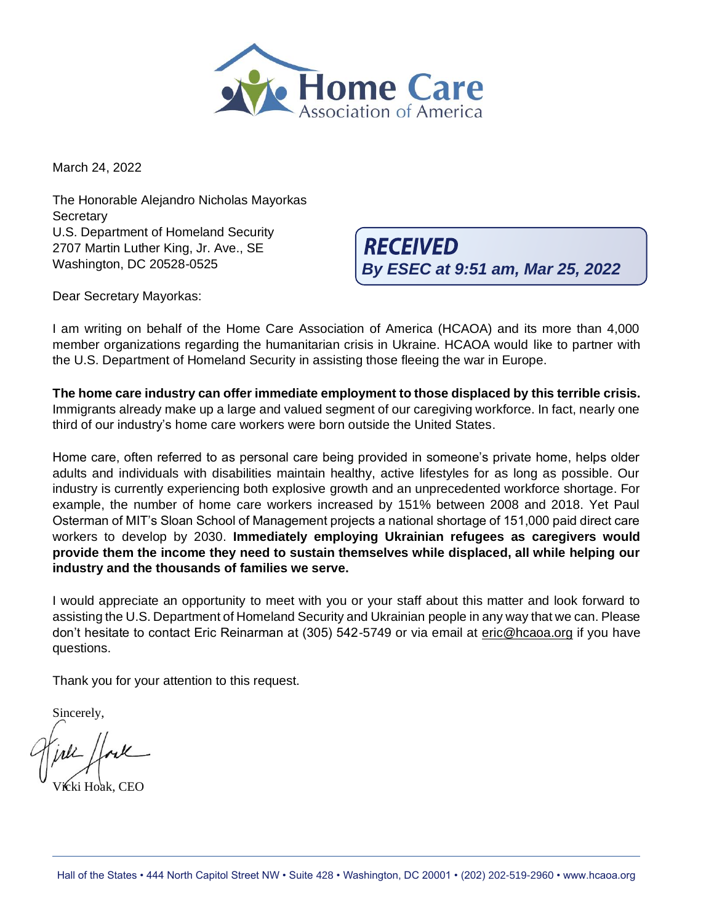

March 24, 2022

The Honorable Alejandro Nicholas Mayorkas **Secretary** U.S. Department of Homeland Security 2707 Martin Luther King, Jr. Ave., SE Washington, DC 20528-0525

**RECEIVED By ESEC at 9:51 am, Mar 25, 2022**

Dear Secretary Mayorkas:

I am writing on behalf of the Home Care Association of America (HCAOA) and its more than 4,000 member organizations regarding the humanitarian crisis in Ukraine. HCAOA would like to partner with the U.S. Department of Homeland Security in assisting those fleeing the war in Europe.

**The home care industry can offer immediate employment to those displaced by this terrible crisis.** Immigrants already make up a large and valued segment of our caregiving workforce. In fact, nearly one third of our industry's home care workers were born outside the United States.

Home care, often referred to as personal care being provided in someone's private home, helps older adults and individuals with disabilities maintain healthy, active lifestyles for as long as possible. Our industry is currently experiencing both explosive growth and an unprecedented workforce shortage. For example, the number of home care workers increased by 151% between 2008 and 2018. Yet Paul Osterman of MIT's Sloan School of Management projects a national shortage of 151,000 paid direct care workers to develop by 2030. **Immediately employing Ukrainian refugees as caregivers would provide them the income they need to sustain themselves while displaced, all while helping our industry and the thousands of families we serve.**

I would appreciate an opportunity to meet with you or your staff about this matter and look forward to assisting the U.S. Department of Homeland Security and Ukrainian people in any way that we can. Please don't hesitate to contact Eric Reinarman at (305) 542-5749 or via email at [eric@hcaoa.org](mailto:eric@hcaoa.org) if you have questions.

Thank you for your attention to this request.

Sincerely,

kki Hoak, CEO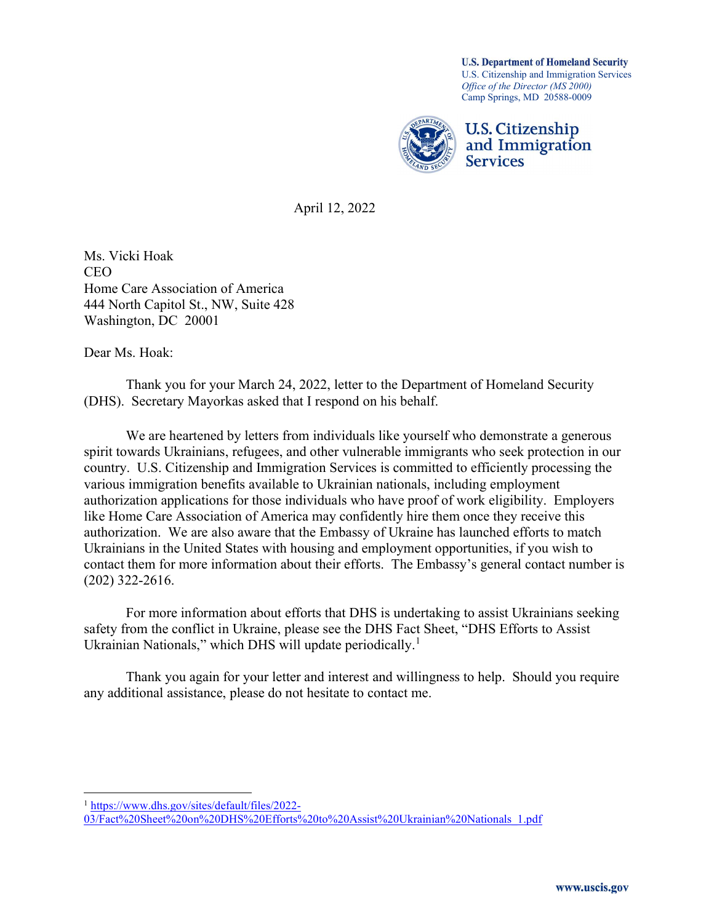**U.S. Department of Homeland Security** U.S. Citizenship and Immigration Services Office of the Director (MS 2000) Camp Springs, MD 20588-0009



April 12, 2022

Ms. Vicki Hoak CEO Home Care Association of America 444 North Capitol St., NW, Suite 428 Washington, DC 20001

Dear Ms. Hoak:

 Thank you for your March 24, 2022, letter to the Department of Homeland Security (DHS). Secretary Mayorkas asked that I respond on his behalf.

 We are heartened by letters from individuals like yourself who demonstrate a generous spirit towards Ukrainians, refugees, and other vulnerable immigrants who seek protection in our country. U.S. Citizenship and Immigration Services is committed to efficiently processing the various immigration benefits available to Ukrainian nationals, including employment authorization applications for those individuals who have proof of work eligibility. Employers like Home Care Association of America may confidently hire them once they receive this authorization. We are also aware that the Embassy of Ukraine has launched efforts to match Ukrainians in the United States with housing and employment opportunities, if you wish to contact them for more information about their efforts. The Embassy's general contact number is (202) 322-2616.

For more information about efforts that DHS is undertaking to assist Ukrainians seeking safety from the conflict in Ukraine, please see the DHS Fact Sheet, "DHS Efforts to Assist Ukrainian Nationals," which DHS will update periodically.<sup>1</sup>

Thank you again for your letter and interest and willingness to help. Should you require any additional assistance, please do not hesitate to contact me.

<sup>1</sup> https://www.dhs.gov/sites/default/files/2022- 03/Fact%20Sheet%20on%20DHS%20Efforts%20to%20Assist%20Ukrainian%20Nationals\_1.pdf